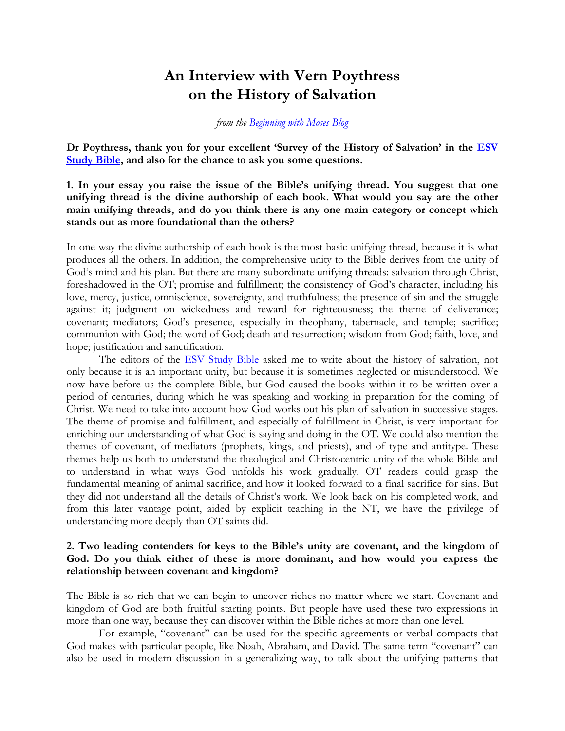# An Interview with Vern Poythress on the History of Salvation

## from the Beginning with Moses Blog

Dr Poythress, thank you for your excellent 'Survey of the History of Salvation' in the **ESV** Study Bible, and also for the chance to ask you some questions.

1. In your essay you raise the issue of the Bible's unifying thread. You suggest that one unifying thread is the divine authorship of each book. What would you say are the other main unifying threads, and do you think there is any one main category or concept which stands out as more foundational than the others?

In one way the divine authorship of each book is the most basic unifying thread, because it is what produces all the others. In addition, the comprehensive unity to the Bible derives from the unity of God's mind and his plan. But there are many subordinate unifying threads: salvation through Christ, foreshadowed in the OT; promise and fulfillment; the consistency of God's character, including his love, mercy, justice, omniscience, sovereignty, and truthfulness; the presence of sin and the struggle against it; judgment on wickedness and reward for righteousness; the theme of deliverance; covenant; mediators; God's presence, especially in theophany, tabernacle, and temple; sacrifice; communion with God; the word of God; death and resurrection; wisdom from God; faith, love, and hope; justification and sanctification.

The editors of the **ESV Study Bible** asked me to write about the history of salvation, not only because it is an important unity, but because it is sometimes neglected or misunderstood. We now have before us the complete Bible, but God caused the books within it to be written over a period of centuries, during which he was speaking and working in preparation for the coming of Christ. We need to take into account how God works out his plan of salvation in successive stages. The theme of promise and fulfillment, and especially of fulfillment in Christ, is very important for enriching our understanding of what God is saying and doing in the OT. We could also mention the themes of covenant, of mediators (prophets, kings, and priests), and of type and antitype. These themes help us both to understand the theological and Christocentric unity of the whole Bible and to understand in what ways God unfolds his work gradually. OT readers could grasp the fundamental meaning of animal sacrifice, and how it looked forward to a final sacrifice for sins. But they did not understand all the details of Christ's work. We look back on his completed work, and from this later vantage point, aided by explicit teaching in the NT, we have the privilege of understanding more deeply than OT saints did.

# 2. Two leading contenders for keys to the Bible's unity are covenant, and the kingdom of God. Do you think either of these is more dominant, and how would you express the relationship between covenant and kingdom?

The Bible is so rich that we can begin to uncover riches no matter where we start. Covenant and kingdom of God are both fruitful starting points. But people have used these two expressions in more than one way, because they can discover within the Bible riches at more than one level.

For example, "covenant" can be used for the specific agreements or verbal compacts that God makes with particular people, like Noah, Abraham, and David. The same term "covenant" can also be used in modern discussion in a generalizing way, to talk about the unifying patterns that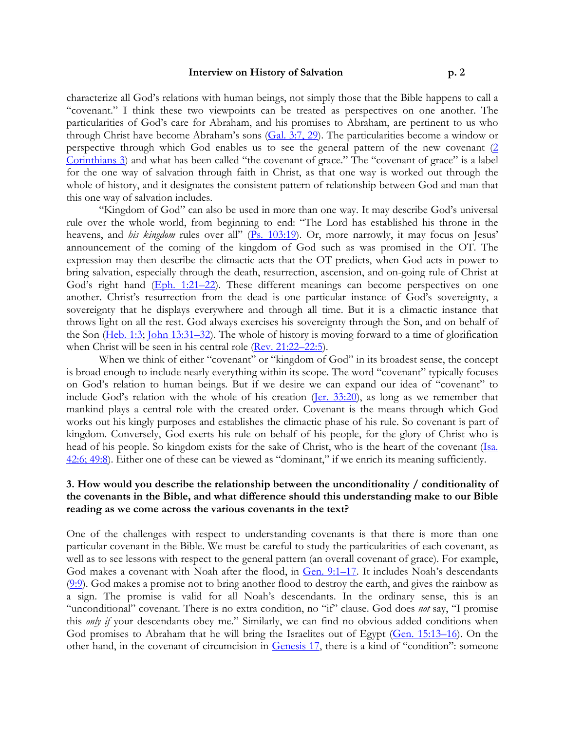characterize all God's relations with human beings, not simply those that the Bible happens to call a "covenant." I think these two viewpoints can be treated as perspectives on one another. The particularities of God's care for Abraham, and his promises to Abraham, are pertinent to us who through Christ have become Abraham's sons (Gal. 3:7, 29). The particularities become a window or perspective through which God enables us to see the general pattern of the new covenant (2 Corinthians 3) and what has been called "the covenant of grace." The "covenant of grace" is a label for the one way of salvation through faith in Christ, as that one way is worked out through the whole of history, and it designates the consistent pattern of relationship between God and man that this one way of salvation includes.

"Kingdom of God" can also be used in more than one way. It may describe God's universal rule over the whole world, from beginning to end: "The Lord has established his throne in the heavens, and *his kingdom* rules over all" (Ps. 103:19). Or, more narrowly, it may focus on Jesus' announcement of the coming of the kingdom of God such as was promised in the OT. The expression may then describe the climactic acts that the OT predicts, when God acts in power to bring salvation, especially through the death, resurrection, ascension, and on-going rule of Christ at God's right hand (Eph. 1:21–22). These different meanings can become perspectives on one another. Christ's resurrection from the dead is one particular instance of God's sovereignty, a sovereignty that he displays everywhere and through all time. But it is a climactic instance that throws light on all the rest. God always exercises his sovereignty through the Son, and on behalf of the Son (Heb. 1:3; John 13:31–32). The whole of history is moving forward to a time of glorification when Christ will be seen in his central role (Rev. 21:22–22:5).

When we think of either "covenant" or "kingdom of God" in its broadest sense, the concept is broad enough to include nearly everything within its scope. The word "covenant" typically focuses on God's relation to human beings. But if we desire we can expand our idea of "covenant" to include God's relation with the whole of his creation (Jer. 33:20), as long as we remember that mankind plays a central role with the created order. Covenant is the means through which God works out his kingly purposes and establishes the climactic phase of his rule. So covenant is part of kingdom. Conversely, God exerts his rule on behalf of his people, for the glory of Christ who is head of his people. So kingdom exists for the sake of Christ, who is the heart of the covenant (Isa. 42:6; 49:8). Either one of these can be viewed as "dominant," if we enrich its meaning sufficiently.

## 3. How would you describe the relationship between the unconditionality / conditionality of the covenants in the Bible, and what difference should this understanding make to our Bible reading as we come across the various covenants in the text?

One of the challenges with respect to understanding covenants is that there is more than one particular covenant in the Bible. We must be careful to study the particularities of each covenant, as well as to see lessons with respect to the general pattern (an overall covenant of grace). For example, God makes a covenant with Noah after the flood, in Gen. 9:1-17. It includes Noah's descendants (9:9). God makes a promise not to bring another flood to destroy the earth, and gives the rainbow as a sign. The promise is valid for all Noah's descendants. In the ordinary sense, this is an "unconditional" covenant. There is no extra condition, no "if" clause. God does not say, "I promise this *only if* your descendants obey me." Similarly, we can find no obvious added conditions when God promises to Abraham that he will bring the Israelites out of Egypt (Gen. 15:13–16). On the other hand, in the covenant of circumcision in Genesis 17, there is a kind of "condition": someone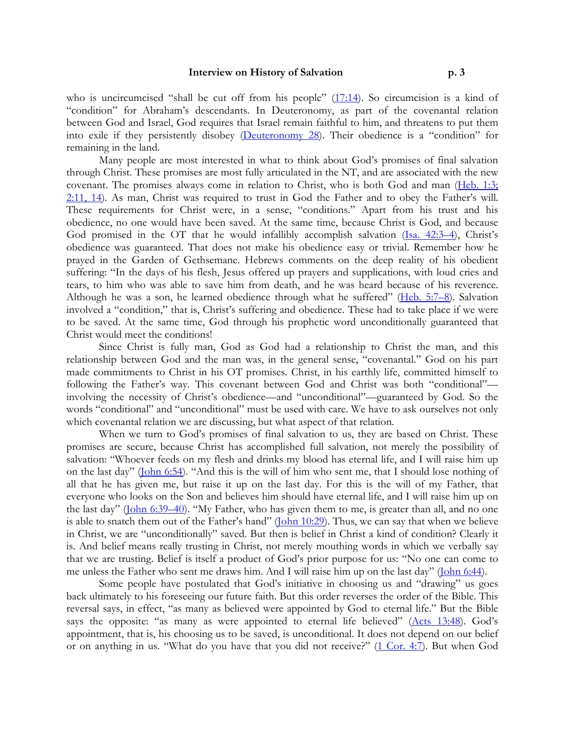who is uncircumcised "shall be cut off from his people"  $(17:14)$ . So circumcision is a kind of "condition" for Abraham's descendants. In Deuteronomy, as part of the covenantal relation between God and Israel, God requires that Israel remain faithful to him, and threatens to put them into exile if they persistently disobey (Deuteronomy 28). Their obedience is a "condition" for remaining in the land.

Many people are most interested in what to think about God's promises of final salvation through Christ. These promises are most fully articulated in the NT, and are associated with the new covenant. The promises always come in relation to Christ, who is both God and man (Heb. 1:3; 2:11, 14). As man, Christ was required to trust in God the Father and to obey the Father's will. These requirements for Christ were, in a sense, "conditions." Apart from his trust and his obedience, no one would have been saved. At the same time, because Christ is God, and because God promised in the OT that he would infallibly accomplish salvation (Isa. 42:3-4), Christ's obedience was guaranteed. That does not make his obedience easy or trivial. Remember how he prayed in the Garden of Gethsemane. Hebrews comments on the deep reality of his obedient suffering: "In the days of his flesh, Jesus offered up prayers and supplications, with loud cries and tears, to him who was able to save him from death, and he was heard because of his reverence. Although he was a son, he learned obedience through what he suffered" (Heb. 5:7-8). Salvation involved a "condition," that is, Christ's suffering and obedience. These had to take place if we were to be saved. At the same time, God through his prophetic word unconditionally guaranteed that Christ would meet the conditions!

Since Christ is fully man, God as God had a relationship to Christ the man, and this relationship between God and the man was, in the general sense, "covenantal." God on his part made commitments to Christ in his OT promises. Christ, in his earthly life, committed himself to following the Father's way. This covenant between God and Christ was both "conditional" involving the necessity of Christ's obedience—and "unconditional"—guaranteed by God. So the words "conditional" and "unconditional" must be used with care. We have to ask ourselves not only which covenantal relation we are discussing, but what aspect of that relation.

When we turn to God's promises of final salvation to us, they are based on Christ. These promises are secure, because Christ has accomplished full salvation, not merely the possibility of salvation: "Whoever feeds on my flesh and drinks my blood has eternal life, and I will raise him up on the last day" (John 6:54). "And this is the will of him who sent me, that I should lose nothing of all that he has given me, but raise it up on the last day. For this is the will of my Father, that everyone who looks on the Son and believes him should have eternal life, and I will raise him up on the last day" (John 6:39–40). "My Father, who has given them to me, is greater than all, and no one is able to snatch them out of the Father's hand" ( $\boxed{\text{Ohn } 10:29}$ ). Thus, we can say that when we believe in Christ, we are "unconditionally" saved. But then is belief in Christ a kind of condition? Clearly it is. And belief means really trusting in Christ, not merely mouthing words in which we verbally say that we are trusting. Belief is itself a product of God's prior purpose for us: "No one can come to me unless the Father who sent me draws him. And I will raise him up on the last day" (John 6:44).

Some people have postulated that God's initiative in choosing us and "drawing" us goes back ultimately to his foreseeing our future faith. But this order reverses the order of the Bible. This reversal says, in effect, "as many as believed were appointed by God to eternal life." But the Bible says the opposite: "as many as were appointed to eternal life believed" (Acts 13:48). God's appointment, that is, his choosing us to be saved, is unconditional. It does not depend on our belief or on anything in us. "What do you have that you did not receive?" (1 Cor. 4:7). But when God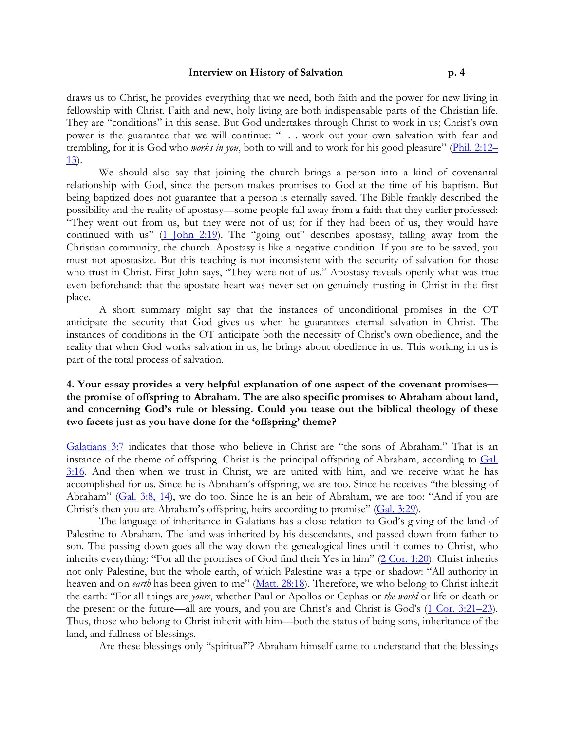draws us to Christ, he provides everything that we need, both faith and the power for new living in fellowship with Christ. Faith and new, holy living are both indispensable parts of the Christian life. They are "conditions" in this sense. But God undertakes through Christ to work in us; Christ's own power is the guarantee that we will continue: ". . . work out your own salvation with fear and trembling, for it is God who works in you, both to will and to work for his good pleasure" (Phil. 2:12– 13).

We should also say that joining the church brings a person into a kind of covenantal relationship with God, since the person makes promises to God at the time of his baptism. But being baptized does not guarantee that a person is eternally saved. The Bible frankly described the possibility and the reality of apostasy—some people fall away from a faith that they earlier professed: "They went out from us, but they were not of us; for if they had been of us, they would have continued with us" (1 John 2:19). The "going out" describes apostasy, falling away from the Christian community, the church. Apostasy is like a negative condition. If you are to be saved, you must not apostasize. But this teaching is not inconsistent with the security of salvation for those who trust in Christ. First John says, "They were not of us." Apostasy reveals openly what was true even beforehand: that the apostate heart was never set on genuinely trusting in Christ in the first place.

A short summary might say that the instances of unconditional promises in the OT anticipate the security that God gives us when he guarantees eternal salvation in Christ. The instances of conditions in the OT anticipate both the necessity of Christ's own obedience, and the reality that when God works salvation in us, he brings about obedience in us. This working in us is part of the total process of salvation.

# 4. Your essay provides a very helpful explanation of one aspect of the covenant promises the promise of offspring to Abraham. The are also specific promises to Abraham about land, and concerning God's rule or blessing. Could you tease out the biblical theology of these two facets just as you have done for the 'offspring' theme?

Galatians 3:7 indicates that those who believe in Christ are "the sons of Abraham." That is an instance of the theme of offspring. Christ is the principal offspring of Abraham, according to Gal. 3:16. And then when we trust in Christ, we are united with him, and we receive what he has accomplished for us. Since he is Abraham's offspring, we are too. Since he receives "the blessing of Abraham" (Gal. 3:8, 14), we do too. Since he is an heir of Abraham, we are too: "And if you are Christ's then you are Abraham's offspring, heirs according to promise" (Gal. 3:29).

The language of inheritance in Galatians has a close relation to God's giving of the land of Palestine to Abraham. The land was inherited by his descendants, and passed down from father to son. The passing down goes all the way down the genealogical lines until it comes to Christ, who inherits everything: "For all the promises of God find their Yes in him" (2 Cor. 1:20). Christ inherits not only Palestine, but the whole earth, of which Palestine was a type or shadow: "All authority in heaven and on *earth* has been given to me" (Matt. 28:18). Therefore, we who belong to Christ inherit the earth: "For all things are yours, whether Paul or Apollos or Cephas or the world or life or death or the present or the future—all are yours, and you are Christ's and Christ is God's (1 Cor. 3:21–23). Thus, those who belong to Christ inherit with him—both the status of being sons, inheritance of the land, and fullness of blessings.

Are these blessings only "spiritual"? Abraham himself came to understand that the blessings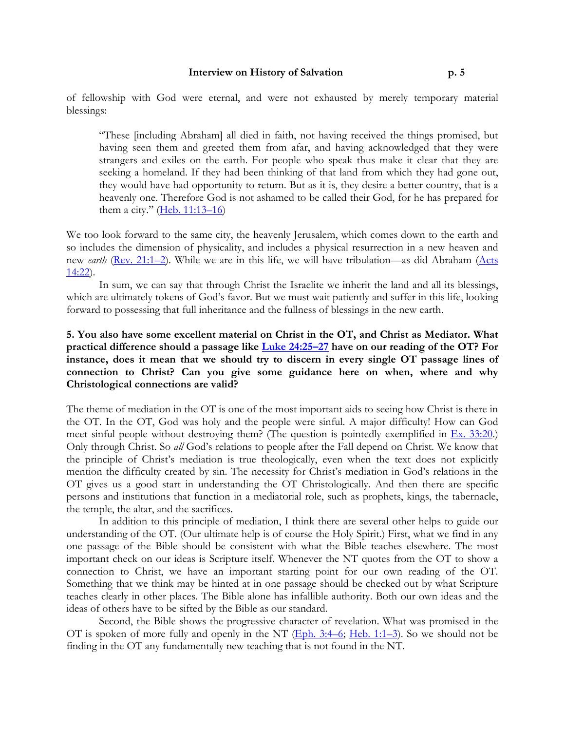of fellowship with God were eternal, and were not exhausted by merely temporary material blessings:

"These [including Abraham] all died in faith, not having received the things promised, but having seen them and greeted them from afar, and having acknowledged that they were strangers and exiles on the earth. For people who speak thus make it clear that they are seeking a homeland. If they had been thinking of that land from which they had gone out, they would have had opportunity to return. But as it is, they desire a better country, that is a heavenly one. Therefore God is not ashamed to be called their God, for he has prepared for them a city."  $(Heb. 11:13-16)$ 

We too look forward to the same city, the heavenly Jerusalem, which comes down to the earth and so includes the dimension of physicality, and includes a physical resurrection in a new heaven and new earth (Rev. 21:1–2). While we are in this life, we will have tribulation—as did Abraham (Acts 14:22).

In sum, we can say that through Christ the Israelite we inherit the land and all its blessings, which are ultimately tokens of God's favor. But we must wait patiently and suffer in this life, looking forward to possessing that full inheritance and the fullness of blessings in the new earth.

# 5. You also have some excellent material on Christ in the OT, and Christ as Mediator. What practical difference should a passage like Luke 24:25–27 have on our reading of the OT? For instance, does it mean that we should try to discern in every single OT passage lines of connection to Christ? Can you give some guidance here on when, where and why Christological connections are valid?

The theme of mediation in the OT is one of the most important aids to seeing how Christ is there in the OT. In the OT, God was holy and the people were sinful. A major difficulty! How can God meet sinful people without destroying them? (The question is pointedly exemplified in Ex. 33:20.) Only through Christ. So all God's relations to people after the Fall depend on Christ. We know that the principle of Christ's mediation is true theologically, even when the text does not explicitly mention the difficulty created by sin. The necessity for Christ's mediation in God's relations in the OT gives us a good start in understanding the OT Christologically. And then there are specific persons and institutions that function in a mediatorial role, such as prophets, kings, the tabernacle, the temple, the altar, and the sacrifices.

In addition to this principle of mediation, I think there are several other helps to guide our understanding of the OT. (Our ultimate help is of course the Holy Spirit.) First, what we find in any one passage of the Bible should be consistent with what the Bible teaches elsewhere. The most important check on our ideas is Scripture itself. Whenever the NT quotes from the OT to show a connection to Christ, we have an important starting point for our own reading of the OT. Something that we think may be hinted at in one passage should be checked out by what Scripture teaches clearly in other places. The Bible alone has infallible authority. Both our own ideas and the ideas of others have to be sifted by the Bible as our standard.

Second, the Bible shows the progressive character of revelation. What was promised in the OT is spoken of more fully and openly in the NT  $(Eph. 3:4-6; Heb. 1:1-3)$ . So we should not be finding in the OT any fundamentally new teaching that is not found in the NT.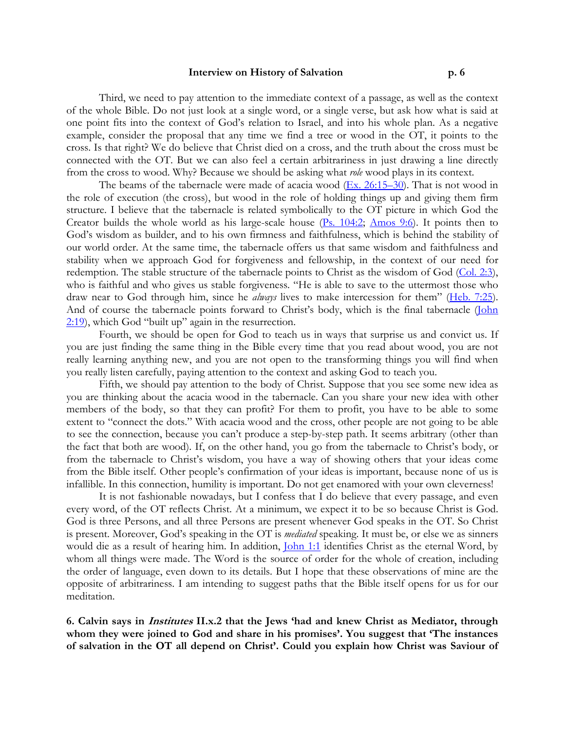Third, we need to pay attention to the immediate context of a passage, as well as the context of the whole Bible. Do not just look at a single word, or a single verse, but ask how what is said at one point fits into the context of God's relation to Israel, and into his whole plan. As a negative example, consider the proposal that any time we find a tree or wood in the OT, it points to the cross. Is that right? We do believe that Christ died on a cross, and the truth about the cross must be connected with the OT. But we can also feel a certain arbitrariness in just drawing a line directly from the cross to wood. Why? Because we should be asking what role wood plays in its context.

The beams of the tabernacle were made of acacia wood  $(Ex. 26:15-30)$ . That is not wood in the role of execution (the cross), but wood in the role of holding things up and giving them firm structure. I believe that the tabernacle is related symbolically to the OT picture in which God the Creator builds the whole world as his large-scale house  $(Ps. 104:2; \text{ Amos } 9:6)$ . It points then to God's wisdom as builder, and to his own firmness and faithfulness, which is behind the stability of our world order. At the same time, the tabernacle offers us that same wisdom and faithfulness and stability when we approach God for forgiveness and fellowship, in the context of our need for redemption. The stable structure of the tabernacle points to Christ as the wisdom of God (Col. 2:3), who is faithful and who gives us stable forgiveness. "He is able to save to the uttermost those who draw near to God through him, since he *always* lives to make intercession for them" (Heb. 7:25). And of course the tabernacle points forward to Christ's body, which is the final tabernacle (John 2:19), which God "built up" again in the resurrection.

Fourth, we should be open for God to teach us in ways that surprise us and convict us. If you are just finding the same thing in the Bible every time that you read about wood, you are not really learning anything new, and you are not open to the transforming things you will find when you really listen carefully, paying attention to the context and asking God to teach you.

Fifth, we should pay attention to the body of Christ. Suppose that you see some new idea as you are thinking about the acacia wood in the tabernacle. Can you share your new idea with other members of the body, so that they can profit? For them to profit, you have to be able to some extent to "connect the dots." With acacia wood and the cross, other people are not going to be able to see the connection, because you can't produce a step-by-step path. It seems arbitrary (other than the fact that both are wood). If, on the other hand, you go from the tabernacle to Christ's body, or from the tabernacle to Christ's wisdom, you have a way of showing others that your ideas come from the Bible itself. Other people's confirmation of your ideas is important, because none of us is infallible. In this connection, humility is important. Do not get enamored with your own cleverness!

It is not fashionable nowadays, but I confess that I do believe that every passage, and even every word, of the OT reflects Christ. At a minimum, we expect it to be so because Christ is God. God is three Persons, and all three Persons are present whenever God speaks in the OT. So Christ is present. Moreover, God's speaking in the OT is mediated speaking. It must be, or else we as sinners would die as a result of hearing him. In addition, *John 1:1* identifies Christ as the eternal Word, by whom all things were made. The Word is the source of order for the whole of creation, including the order of language, even down to its details. But I hope that these observations of mine are the opposite of arbitrariness. I am intending to suggest paths that the Bible itself opens for us for our meditation.

6. Calvin says in Institutes II.x.2 that the Jews 'had and knew Christ as Mediator, through whom they were joined to God and share in his promises'. You suggest that 'The instances of salvation in the OT all depend on Christ'. Could you explain how Christ was Saviour of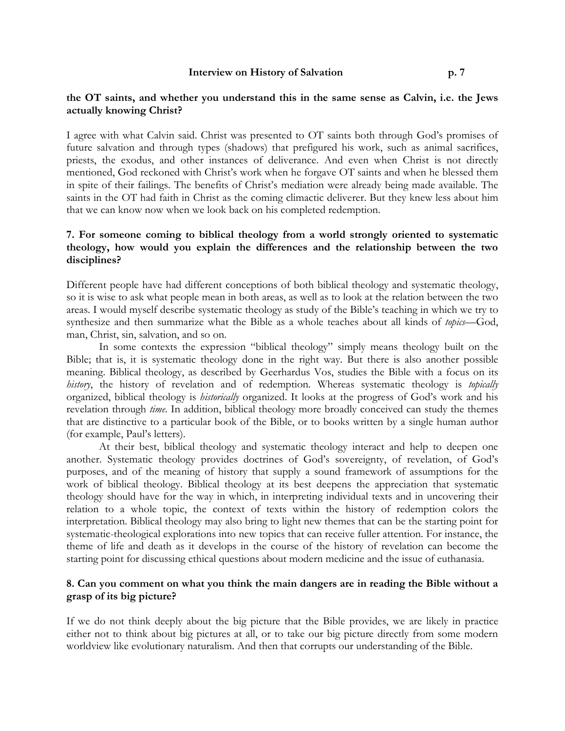#### the OT saints, and whether you understand this in the same sense as Calvin, i.e. the Jews actually knowing Christ?

I agree with what Calvin said. Christ was presented to OT saints both through God's promises of future salvation and through types (shadows) that prefigured his work, such as animal sacrifices, priests, the exodus, and other instances of deliverance. And even when Christ is not directly mentioned, God reckoned with Christ's work when he forgave OT saints and when he blessed them in spite of their failings. The benefits of Christ's mediation were already being made available. The saints in the OT had faith in Christ as the coming climactic deliverer. But they knew less about him that we can know now when we look back on his completed redemption.

# 7. For someone coming to biblical theology from a world strongly oriented to systematic theology, how would you explain the differences and the relationship between the two disciplines?

Different people have had different conceptions of both biblical theology and systematic theology, so it is wise to ask what people mean in both areas, as well as to look at the relation between the two areas. I would myself describe systematic theology as study of the Bible's teaching in which we try to synthesize and then summarize what the Bible as a whole teaches about all kinds of topics—God, man, Christ, sin, salvation, and so on.

In some contexts the expression "biblical theology" simply means theology built on the Bible; that is, it is systematic theology done in the right way. But there is also another possible meaning. Biblical theology, as described by Geerhardus Vos, studies the Bible with a focus on its history, the history of revelation and of redemption. Whereas systematic theology is topically organized, biblical theology is historically organized. It looks at the progress of God's work and his revelation through time. In addition, biblical theology more broadly conceived can study the themes that are distinctive to a particular book of the Bible, or to books written by a single human author (for example, Paul's letters).

At their best, biblical theology and systematic theology interact and help to deepen one another. Systematic theology provides doctrines of God's sovereignty, of revelation, of God's purposes, and of the meaning of history that supply a sound framework of assumptions for the work of biblical theology. Biblical theology at its best deepens the appreciation that systematic theology should have for the way in which, in interpreting individual texts and in uncovering their relation to a whole topic, the context of texts within the history of redemption colors the interpretation. Biblical theology may also bring to light new themes that can be the starting point for systematic-theological explorations into new topics that can receive fuller attention. For instance, the theme of life and death as it develops in the course of the history of revelation can become the starting point for discussing ethical questions about modern medicine and the issue of euthanasia.

# 8. Can you comment on what you think the main dangers are in reading the Bible without a grasp of its big picture?

If we do not think deeply about the big picture that the Bible provides, we are likely in practice either not to think about big pictures at all, or to take our big picture directly from some modern worldview like evolutionary naturalism. And then that corrupts our understanding of the Bible.